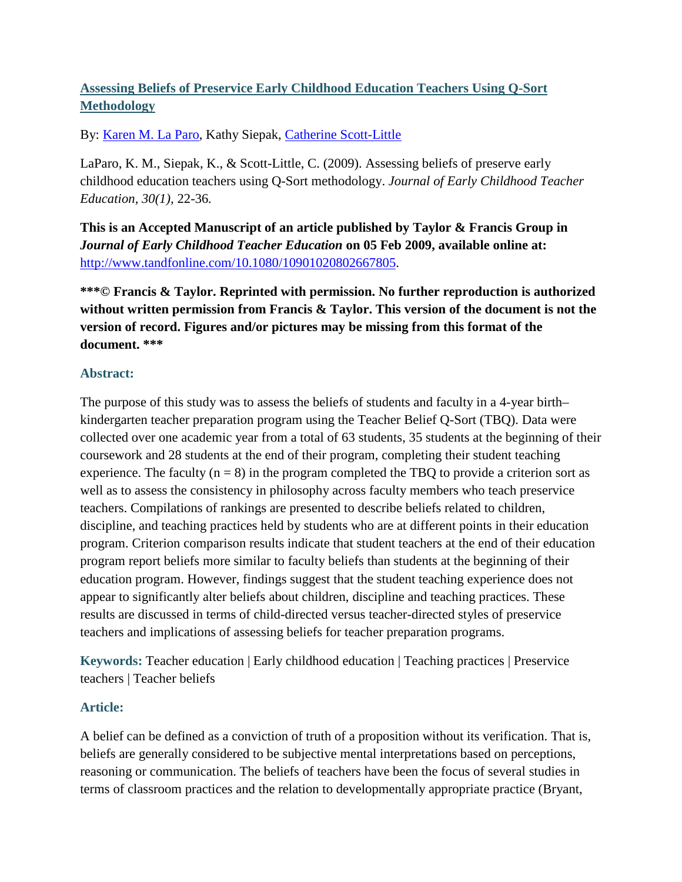# **Assessing Beliefs of Preservice Early Childhood Education Teachers Using Q-Sort Methodology**

By: [Karen M. La Paro,](https://libres.uncg.edu/ir/uncg/clist.aspx?id=1297) Kathy Siepak, [Catherine Scott-Little](https://libres.uncg.edu/ir/uncg/clist.aspx?id=1193)

LaParo, K. M., Siepak, K., & Scott-Little, C. (2009). Assessing beliefs of preserve early childhood education teachers using Q-Sort methodology. *Journal of Early Childhood Teacher Education, 30(1),* 22-36*.*

**This is an Accepted Manuscript of an article published by Taylor & Francis Group in**  *Journal of Early Childhood Teacher Education* **on 05 Feb 2009, available online at:** [http://www.tandfonline.com/10.1080/10901020802667805.](http://www.tandfonline.com/10.1080/10901020802667805)

**\*\*\*© Francis & Taylor. Reprinted with permission. No further reproduction is authorized without written permission from Francis & Taylor. This version of the document is not the version of record. Figures and/or pictures may be missing from this format of the document. \*\*\***

## **Abstract:**

The purpose of this study was to assess the beliefs of students and faculty in a 4-year birth– kindergarten teacher preparation program using the Teacher Belief Q-Sort (TBQ). Data were collected over one academic year from a total of 63 students, 35 students at the beginning of their coursework and 28 students at the end of their program, completing their student teaching experience. The faculty  $(n = 8)$  in the program completed the TBO to provide a criterion sort as well as to assess the consistency in philosophy across faculty members who teach preservice teachers. Compilations of rankings are presented to describe beliefs related to children, discipline, and teaching practices held by students who are at different points in their education program. Criterion comparison results indicate that student teachers at the end of their education program report beliefs more similar to faculty beliefs than students at the beginning of their education program. However, findings suggest that the student teaching experience does not appear to significantly alter beliefs about children, discipline and teaching practices. These results are discussed in terms of child-directed versus teacher-directed styles of preservice teachers and implications of assessing beliefs for teacher preparation programs.

**Keywords:** Teacher education | Early childhood education | Teaching practices | Preservice teachers | Teacher beliefs

## **Article:**

A belief can be defined as a conviction of truth of a proposition without its verification. That is, beliefs are generally considered to be subjective mental interpretations based on perceptions, reasoning or communication. The beliefs of teachers have been the focus of several studies in terms of classroom practices and the relation to developmentally appropriate practice (Bryant,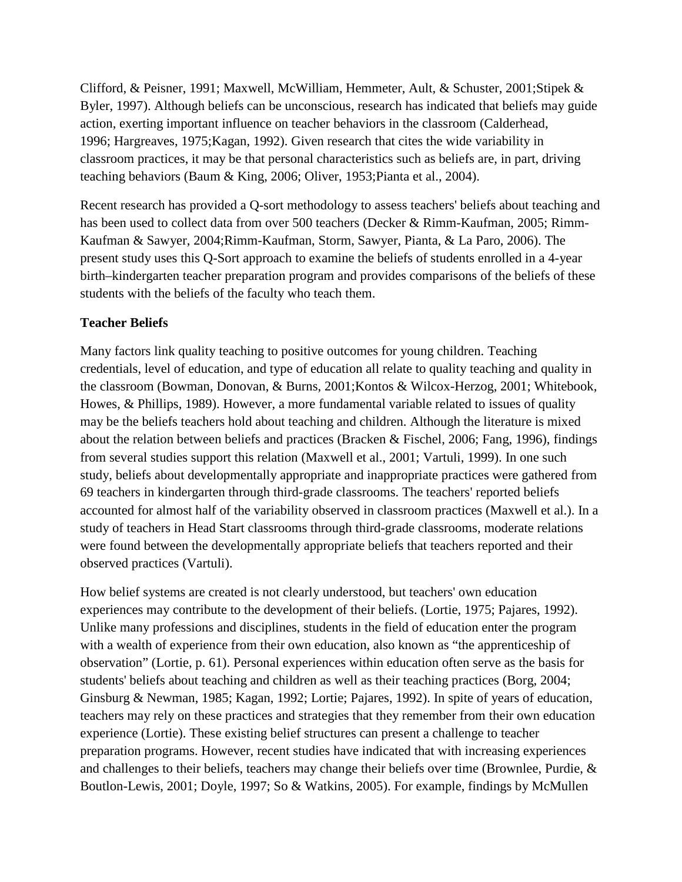Clifford, & Peisner, 1991; Maxwell, McWilliam, Hemmeter, Ault, & Schuster, 2001;Stipek & Byler, 1997). Although beliefs can be unconscious, research has indicated that beliefs may guide action, exerting important influence on teacher behaviors in the classroom (Calderhead, 1996; Hargreaves, 1975;Kagan, 1992). Given research that cites the wide variability in classroom practices, it may be that personal characteristics such as beliefs are, in part, driving teaching behaviors (Baum & King, 2006; Oliver, 1953;Pianta et al., 2004).

Recent research has provided a Q-sort methodology to assess teachers' beliefs about teaching and has been used to collect data from over 500 teachers (Decker & Rimm-Kaufman, 2005; Rimm-Kaufman & Sawyer, 2004;Rimm-Kaufman, Storm, Sawyer, Pianta, & La Paro, 2006). The present study uses this Q-Sort approach to examine the beliefs of students enrolled in a 4-year birth–kindergarten teacher preparation program and provides comparisons of the beliefs of these students with the beliefs of the faculty who teach them.

## **Teacher Beliefs**

Many factors link quality teaching to positive outcomes for young children. Teaching credentials, level of education, and type of education all relate to quality teaching and quality in the classroom (Bowman, Donovan, & Burns, 2001;Kontos & Wilcox-Herzog, 2001; Whitebook, Howes, & Phillips, 1989). However, a more fundamental variable related to issues of quality may be the beliefs teachers hold about teaching and children. Although the literature is mixed about the relation between beliefs and practices (Bracken & Fischel, 2006; Fang, 1996), findings from several studies support this relation (Maxwell et al., 2001; Vartuli, 1999). In one such study, beliefs about developmentally appropriate and inappropriate practices were gathered from 69 teachers in kindergarten through third-grade classrooms. The teachers' reported beliefs accounted for almost half of the variability observed in classroom practices (Maxwell et al.). In a study of teachers in Head Start classrooms through third-grade classrooms, moderate relations were found between the developmentally appropriate beliefs that teachers reported and their observed practices (Vartuli).

How belief systems are created is not clearly understood, but teachers' own education experiences may contribute to the development of their beliefs. (Lortie, 1975; Pajares, 1992). Unlike many professions and disciplines, students in the field of education enter the program with a wealth of experience from their own education, also known as "the apprenticeship of observation" (Lortie, p. 61). Personal experiences within education often serve as the basis for students' beliefs about teaching and children as well as their teaching practices (Borg, 2004; Ginsburg & Newman, 1985; Kagan, 1992; Lortie; Pajares, 1992). In spite of years of education, teachers may rely on these practices and strategies that they remember from their own education experience (Lortie). These existing belief structures can present a challenge to teacher preparation programs. However, recent studies have indicated that with increasing experiences and challenges to their beliefs, teachers may change their beliefs over time (Brownlee, Purdie, & Boutlon-Lewis, 2001; Doyle, 1997; So & Watkins, 2005). For example, findings by McMullen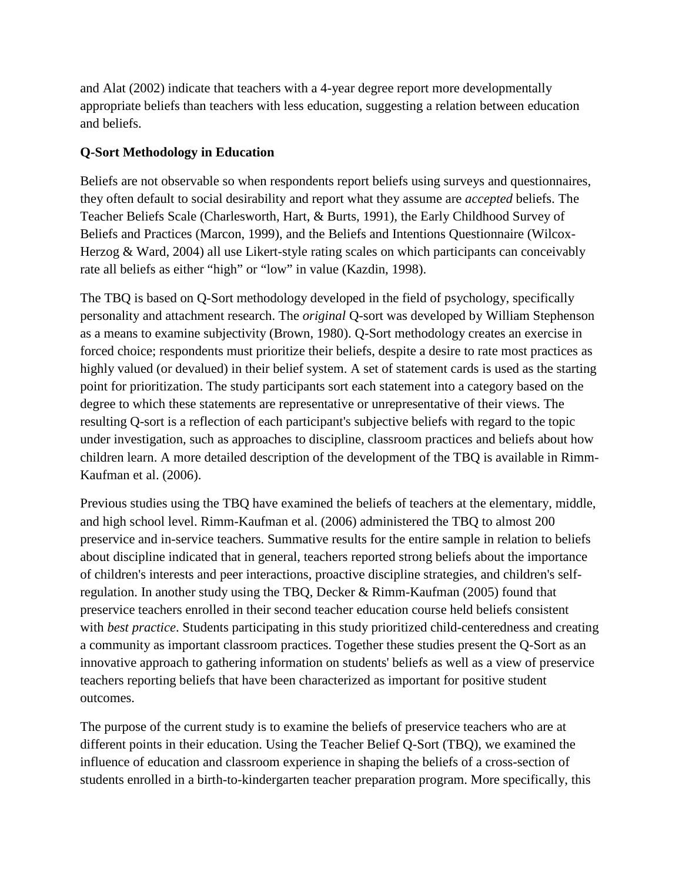and Alat (2002) indicate that teachers with a 4-year degree report more developmentally appropriate beliefs than teachers with less education, suggesting a relation between education and beliefs.

## **Q-Sort Methodology in Education**

Beliefs are not observable so when respondents report beliefs using surveys and questionnaires, they often default to social desirability and report what they assume are *accepted* beliefs. The Teacher Beliefs Scale (Charlesworth, Hart, & Burts, 1991), the Early Childhood Survey of Beliefs and Practices (Marcon, 1999), and the Beliefs and Intentions Questionnaire (Wilcox-Herzog & Ward, 2004) all use Likert-style rating scales on which participants can conceivably rate all beliefs as either "high" or "low" in value (Kazdin, 1998).

The TBQ is based on Q-Sort methodology developed in the field of psychology, specifically personality and attachment research. The *original* Q-sort was developed by William Stephenson as a means to examine subjectivity (Brown, 1980). Q-Sort methodology creates an exercise in forced choice; respondents must prioritize their beliefs, despite a desire to rate most practices as highly valued (or devalued) in their belief system. A set of statement cards is used as the starting point for prioritization. The study participants sort each statement into a category based on the degree to which these statements are representative or unrepresentative of their views. The resulting Q-sort is a reflection of each participant's subjective beliefs with regard to the topic under investigation, such as approaches to discipline, classroom practices and beliefs about how children learn. A more detailed description of the development of the TBQ is available in Rimm-Kaufman et al. (2006).

Previous studies using the TBQ have examined the beliefs of teachers at the elementary, middle, and high school level. Rimm-Kaufman et al. (2006) administered the TBQ to almost 200 preservice and in-service teachers. Summative results for the entire sample in relation to beliefs about discipline indicated that in general, teachers reported strong beliefs about the importance of children's interests and peer interactions, proactive discipline strategies, and children's selfregulation. In another study using the TBQ, Decker & Rimm-Kaufman (2005) found that preservice teachers enrolled in their second teacher education course held beliefs consistent with *best practice*. Students participating in this study prioritized child-centeredness and creating a community as important classroom practices. Together these studies present the Q-Sort as an innovative approach to gathering information on students' beliefs as well as a view of preservice teachers reporting beliefs that have been characterized as important for positive student outcomes.

The purpose of the current study is to examine the beliefs of preservice teachers who are at different points in their education. Using the Teacher Belief Q-Sort (TBQ), we examined the influence of education and classroom experience in shaping the beliefs of a cross-section of students enrolled in a birth-to-kindergarten teacher preparation program. More specifically, this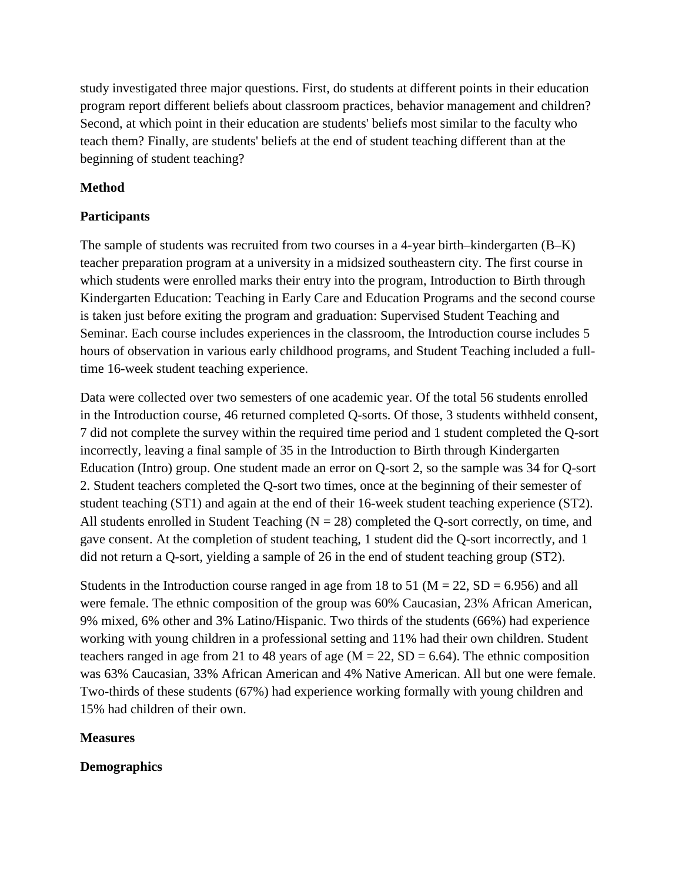study investigated three major questions. First, do students at different points in their education program report different beliefs about classroom practices, behavior management and children? Second, at which point in their education are students' beliefs most similar to the faculty who teach them? Finally, are students' beliefs at the end of student teaching different than at the beginning of student teaching?

## **Method**

## **Participants**

The sample of students was recruited from two courses in a 4-year birth–kindergarten (B–K) teacher preparation program at a university in a midsized southeastern city. The first course in which students were enrolled marks their entry into the program, Introduction to Birth through Kindergarten Education: Teaching in Early Care and Education Programs and the second course is taken just before exiting the program and graduation: Supervised Student Teaching and Seminar. Each course includes experiences in the classroom, the Introduction course includes 5 hours of observation in various early childhood programs, and Student Teaching included a fulltime 16-week student teaching experience.

Data were collected over two semesters of one academic year. Of the total 56 students enrolled in the Introduction course, 46 returned completed Q-sorts. Of those, 3 students withheld consent, 7 did not complete the survey within the required time period and 1 student completed the Q-sort incorrectly, leaving a final sample of 35 in the Introduction to Birth through Kindergarten Education (Intro) group. One student made an error on Q-sort 2, so the sample was 34 for Q-sort 2. Student teachers completed the Q-sort two times, once at the beginning of their semester of student teaching (ST1) and again at the end of their 16-week student teaching experience (ST2). All students enrolled in Student Teaching  $(N = 28)$  completed the Q-sort correctly, on time, and gave consent. At the completion of student teaching, 1 student did the Q-sort incorrectly, and 1 did not return a Q-sort, yielding a sample of 26 in the end of student teaching group (ST2).

Students in the Introduction course ranged in age from 18 to 51 ( $M = 22$ , SD = 6.956) and all were female. The ethnic composition of the group was 60% Caucasian, 23% African American, 9% mixed, 6% other and 3% Latino/Hispanic. Two thirds of the students (66%) had experience working with young children in a professional setting and 11% had their own children. Student teachers ranged in age from 21 to 48 years of age ( $M = 22$ ,  $SD = 6.64$ ). The ethnic composition was 63% Caucasian, 33% African American and 4% Native American. All but one were female. Two-thirds of these students (67%) had experience working formally with young children and 15% had children of their own.

## **Measures**

## **Demographics**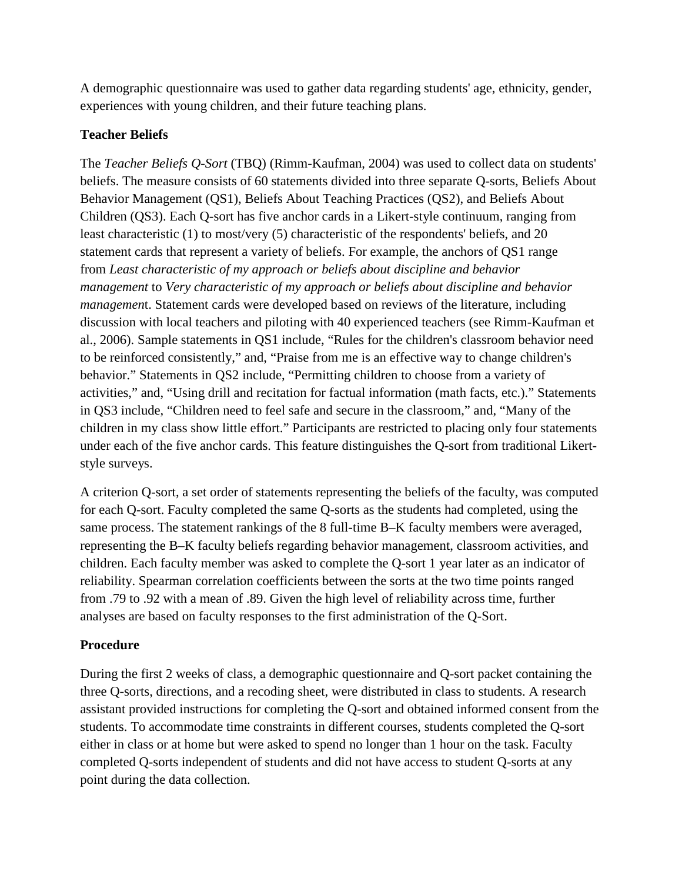A demographic questionnaire was used to gather data regarding students' age, ethnicity, gender, experiences with young children, and their future teaching plans.

## **Teacher Beliefs**

The *Teacher Beliefs Q-Sort* (TBQ) (Rimm-Kaufman, 2004) was used to collect data on students' beliefs. The measure consists of 60 statements divided into three separate Q-sorts, Beliefs About Behavior Management (QS1), Beliefs About Teaching Practices (QS2), and Beliefs About Children (QS3). Each Q-sort has five anchor cards in a Likert-style continuum, ranging from least characteristic (1) to most/very (5) characteristic of the respondents' beliefs, and 20 statement cards that represent a variety of beliefs. For example, the anchors of QS1 range from *Least characteristic of my approach or beliefs about discipline and behavior management* to *Very characteristic of my approach or beliefs about discipline and behavior managemen*t. Statement cards were developed based on reviews of the literature, including discussion with local teachers and piloting with 40 experienced teachers (see Rimm-Kaufman et al., 2006). Sample statements in QS1 include, "Rules for the children's classroom behavior need to be reinforced consistently," and, "Praise from me is an effective way to change children's behavior." Statements in QS2 include, "Permitting children to choose from a variety of activities," and, "Using drill and recitation for factual information (math facts, etc.)." Statements in QS3 include, "Children need to feel safe and secure in the classroom," and, "Many of the children in my class show little effort." Participants are restricted to placing only four statements under each of the five anchor cards. This feature distinguishes the Q-sort from traditional Likertstyle surveys.

A criterion Q-sort, a set order of statements representing the beliefs of the faculty, was computed for each Q-sort. Faculty completed the same Q-sorts as the students had completed, using the same process. The statement rankings of the 8 full-time B–K faculty members were averaged, representing the B–K faculty beliefs regarding behavior management, classroom activities, and children. Each faculty member was asked to complete the Q-sort 1 year later as an indicator of reliability. Spearman correlation coefficients between the sorts at the two time points ranged from .79 to .92 with a mean of .89. Given the high level of reliability across time, further analyses are based on faculty responses to the first administration of the Q-Sort.

## **Procedure**

During the first 2 weeks of class, a demographic questionnaire and Q-sort packet containing the three Q-sorts, directions, and a recoding sheet, were distributed in class to students. A research assistant provided instructions for completing the Q-sort and obtained informed consent from the students. To accommodate time constraints in different courses, students completed the Q-sort either in class or at home but were asked to spend no longer than 1 hour on the task. Faculty completed Q-sorts independent of students and did not have access to student Q-sorts at any point during the data collection.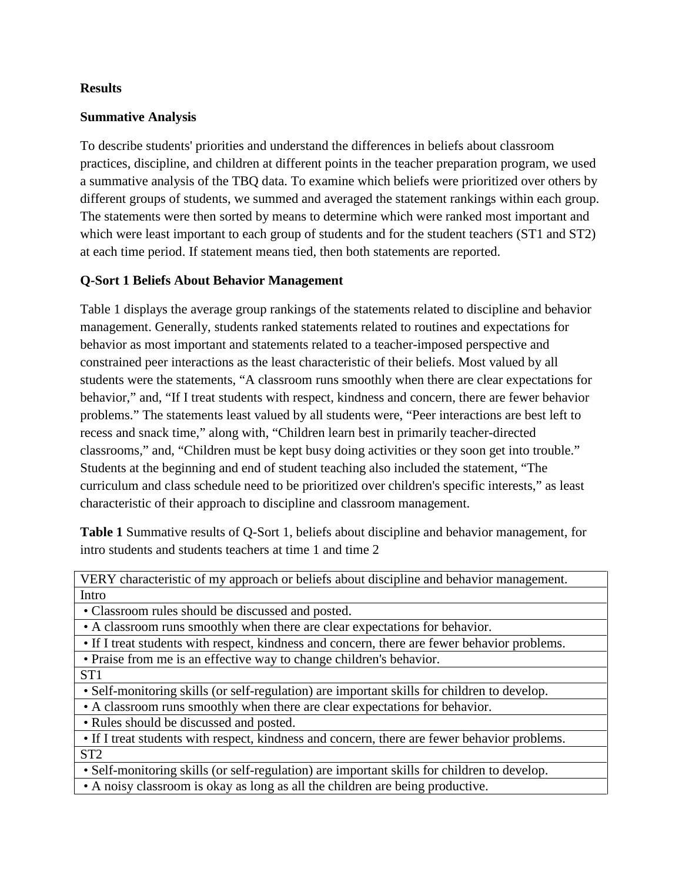#### **Results**

#### **Summative Analysis**

To describe students' priorities and understand the differences in beliefs about classroom practices, discipline, and children at different points in the teacher preparation program, we used a summative analysis of the TBQ data. To examine which beliefs were prioritized over others by different groups of students, we summed and averaged the statement rankings within each group. The statements were then sorted by means to determine which were ranked most important and which were least important to each group of students and for the student teachers (ST1 and ST2) at each time period. If statement means tied, then both statements are reported.

## **Q-Sort 1 Beliefs About Behavior Management**

Table 1 displays the average group rankings of the statements related to discipline and behavior management. Generally, students ranked statements related to routines and expectations for behavior as most important and statements related to a teacher-imposed perspective and constrained peer interactions as the least characteristic of their beliefs. Most valued by all students were the statements, "A classroom runs smoothly when there are clear expectations for behavior," and, "If I treat students with respect, kindness and concern, there are fewer behavior problems." The statements least valued by all students were, "Peer interactions are best left to recess and snack time," along with, "Children learn best in primarily teacher-directed classrooms," and, "Children must be kept busy doing activities or they soon get into trouble." Students at the beginning and end of student teaching also included the statement, "The curriculum and class schedule need to be prioritized over children's specific interests," as least characteristic of their approach to discipline and classroom management.

**Table 1** Summative results of Q-Sort 1, beliefs about discipline and behavior management, for intro students and students teachers at time 1 and time 2

| VERY characteristic of my approach or beliefs about discipline and behavior management.      |  |  |  |  |  |
|----------------------------------------------------------------------------------------------|--|--|--|--|--|
| Intro                                                                                        |  |  |  |  |  |
| • Classroom rules should be discussed and posted.                                            |  |  |  |  |  |
| • A classroom runs smoothly when there are clear expectations for behavior.                  |  |  |  |  |  |
| • If I treat students with respect, kindness and concern, there are fewer behavior problems. |  |  |  |  |  |
| • Praise from me is an effective way to change children's behavior.                          |  |  |  |  |  |
| ST <sub>1</sub>                                                                              |  |  |  |  |  |
| • Self-monitoring skills (or self-regulation) are important skills for children to develop.  |  |  |  |  |  |
| • A classroom runs smoothly when there are clear expectations for behavior.                  |  |  |  |  |  |
| • Rules should be discussed and posted.                                                      |  |  |  |  |  |
| • If I treat students with respect, kindness and concern, there are fewer behavior problems. |  |  |  |  |  |
| ST <sub>2</sub>                                                                              |  |  |  |  |  |
| • Self-monitoring skills (or self-regulation) are important skills for children to develop.  |  |  |  |  |  |
| • A noisy classroom is okay as long as all the children are being productive.                |  |  |  |  |  |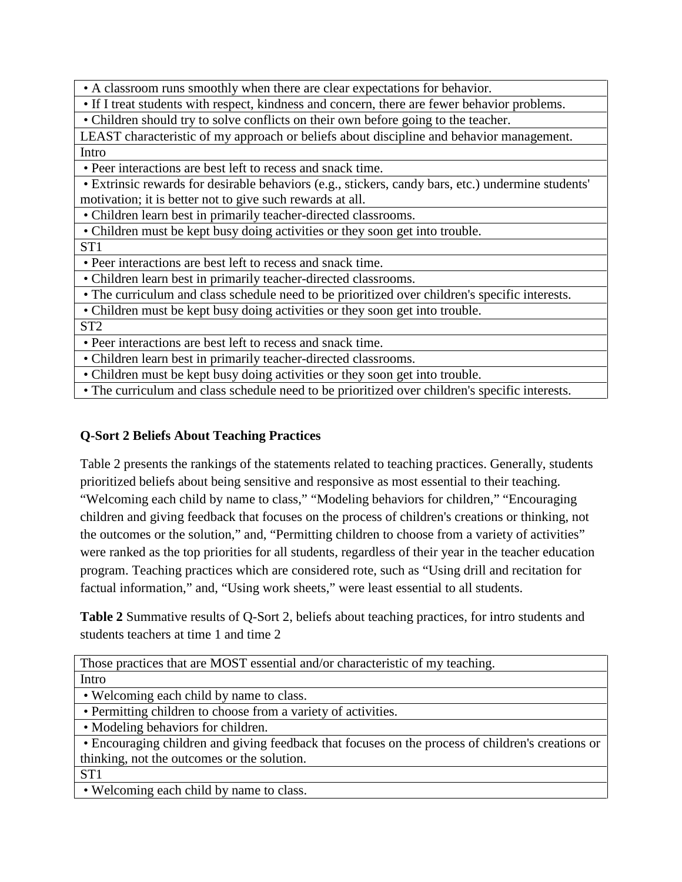• A classroom runs smoothly when there are clear expectations for behavior.

• If I treat students with respect, kindness and concern, there are fewer behavior problems.

• Children should try to solve conflicts on their own before going to the teacher.

LEAST characteristic of my approach or beliefs about discipline and behavior management. Intro

• Peer interactions are best left to recess and snack time.

• Extrinsic rewards for desirable behaviors (e.g., stickers, candy bars, etc.) undermine students' motivation; it is better not to give such rewards at all.

• Children learn best in primarily teacher-directed classrooms.

• Children must be kept busy doing activities or they soon get into trouble.

ST1

• Peer interactions are best left to recess and snack time.

• Children learn best in primarily teacher-directed classrooms.

• The curriculum and class schedule need to be prioritized over children's specific interests.

• Children must be kept busy doing activities or they soon get into trouble.

ST2

• Peer interactions are best left to recess and snack time.

• Children learn best in primarily teacher-directed classrooms.

• Children must be kept busy doing activities or they soon get into trouble.

• The curriculum and class schedule need to be prioritized over children's specific interests.

## **Q-Sort 2 Beliefs About Teaching Practices**

Table 2 presents the rankings of the statements related to teaching practices. Generally, students prioritized beliefs about being sensitive and responsive as most essential to their teaching. "Welcoming each child by name to class," "Modeling behaviors for children," "Encouraging children and giving feedback that focuses on the process of children's creations or thinking, not the outcomes or the solution," and, "Permitting children to choose from a variety of activities" were ranked as the top priorities for all students, regardless of their year in the teacher education program. Teaching practices which are considered rote, such as "Using drill and recitation for factual information," and, "Using work sheets," were least essential to all students.

**Table 2** Summative results of Q-Sort 2, beliefs about teaching practices, for intro students and students teachers at time 1 and time 2

| Those practices that are MOST essential and/or characteristic of my teaching.                     |  |  |  |  |
|---------------------------------------------------------------------------------------------------|--|--|--|--|
| Intro                                                                                             |  |  |  |  |
| • Welcoming each child by name to class.                                                          |  |  |  |  |
| • Permitting children to choose from a variety of activities.                                     |  |  |  |  |
| • Modeling behaviors for children.                                                                |  |  |  |  |
| • Encouraging children and giving feedback that focuses on the process of children's creations or |  |  |  |  |
| thinking, not the outcomes or the solution.                                                       |  |  |  |  |
| ST <sub>1</sub>                                                                                   |  |  |  |  |
| • Welcoming each child by name to class.                                                          |  |  |  |  |
|                                                                                                   |  |  |  |  |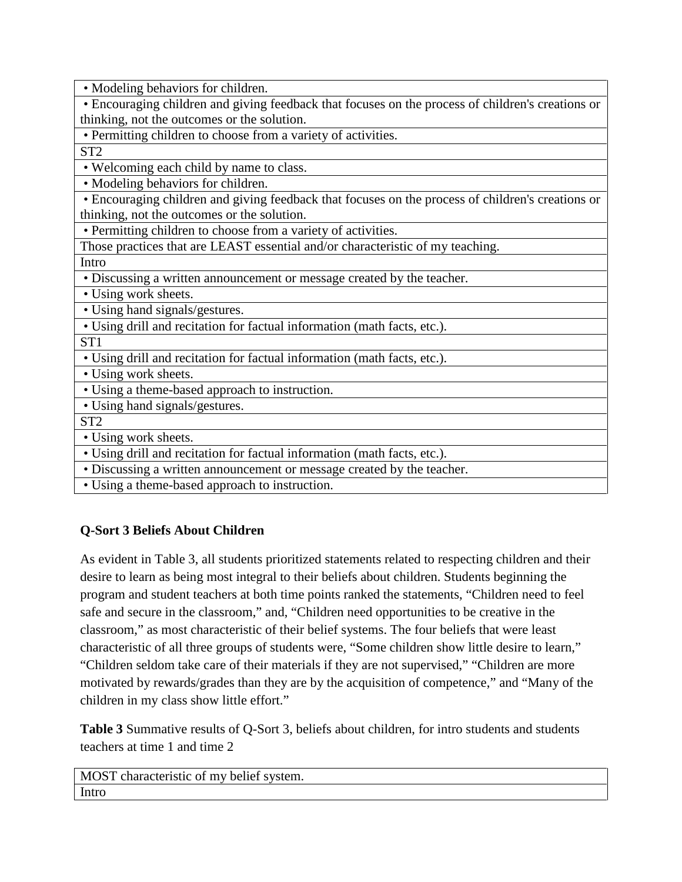• Modeling behaviors for children.

• Encouraging children and giving feedback that focuses on the process of children's creations or thinking, not the outcomes or the solution.

• Permitting children to choose from a variety of activities.

ST2

• Welcoming each child by name to class.

• Modeling behaviors for children.

• Encouraging children and giving feedback that focuses on the process of children's creations or thinking, not the outcomes or the solution.

• Permitting children to choose from a variety of activities.

Those practices that are LEAST essential and/or characteristic of my teaching.

Intro

• Discussing a written announcement or message created by the teacher.

• Using work sheets.

• Using hand signals/gestures.

• Using drill and recitation for factual information (math facts, etc.).

ST1

• Using drill and recitation for factual information (math facts, etc.).

• Using work sheets.

• Using a theme-based approach to instruction.

• Using hand signals/gestures.

ST2

• Using work sheets.

• Using drill and recitation for factual information (math facts, etc.).

• Discussing a written announcement or message created by the teacher.

• Using a theme-based approach to instruction.

## **Q-Sort 3 Beliefs About Children**

As evident in Table 3, all students prioritized statements related to respecting children and their desire to learn as being most integral to their beliefs about children. Students beginning the program and student teachers at both time points ranked the statements, "Children need to feel safe and secure in the classroom," and, "Children need opportunities to be creative in the classroom," as most characteristic of their belief systems. The four beliefs that were least characteristic of all three groups of students were, "Some children show little desire to learn," "Children seldom take care of their materials if they are not supervised," "Children are more motivated by rewards/grades than they are by the acquisition of competence," and "Many of the children in my class show little effort."

**Table 3** Summative results of Q-Sort 3, beliefs about children, for intro students and students teachers at time 1 and time 2

MOST characteristic of my belief system. Intro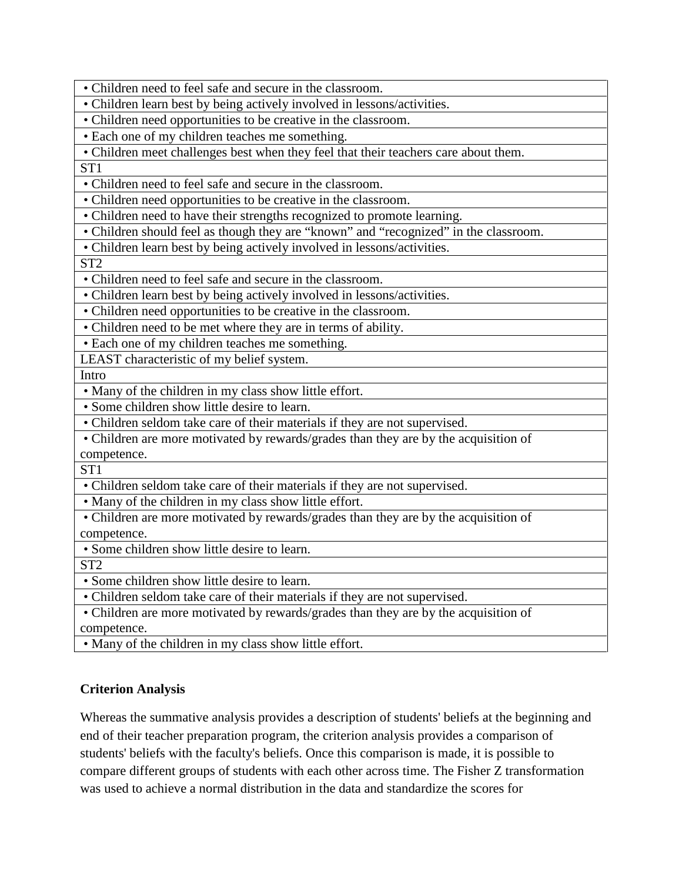• Children need to feel safe and secure in the classroom.

• Children learn best by being actively involved in lessons/activities.

• Children need opportunities to be creative in the classroom.

• Each one of my children teaches me something.

• Children meet challenges best when they feel that their teachers care about them.

ST1

• Children need to feel safe and secure in the classroom.

• Children need opportunities to be creative in the classroom.

• Children need to have their strengths recognized to promote learning.

• Children should feel as though they are "known" and "recognized" in the classroom.

• Children learn best by being actively involved in lessons/activities.

ST2

• Children need to feel safe and secure in the classroom.

• Children learn best by being actively involved in lessons/activities.

• Children need opportunities to be creative in the classroom.

• Children need to be met where they are in terms of ability.

• Each one of my children teaches me something.

LEAST characteristic of my belief system.

Intro

• Many of the children in my class show little effort.

• Some children show little desire to learn.

• Children seldom take care of their materials if they are not supervised.

• Children are more motivated by rewards/grades than they are by the acquisition of

competence.

ST1

• Children seldom take care of their materials if they are not supervised.

• Many of the children in my class show little effort.

• Children are more motivated by rewards/grades than they are by the acquisition of competence.

• Some children show little desire to learn.

ST2

• Some children show little desire to learn.

• Children seldom take care of their materials if they are not supervised.

• Children are more motivated by rewards/grades than they are by the acquisition of competence.

• Many of the children in my class show little effort.

## **Criterion Analysis**

Whereas the summative analysis provides a description of students' beliefs at the beginning and end of their teacher preparation program, the criterion analysis provides a comparison of students' beliefs with the faculty's beliefs. Once this comparison is made, it is possible to compare different groups of students with each other across time. The Fisher Z transformation was used to achieve a normal distribution in the data and standardize the scores for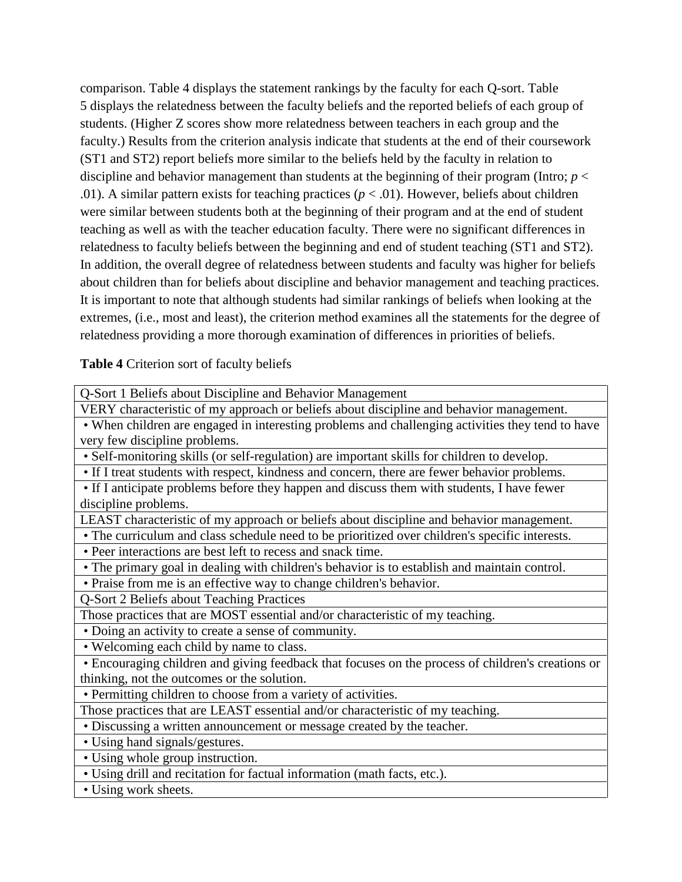comparison. Table 4 displays the statement rankings by the faculty for each Q-sort. Table 5 displays the relatedness between the faculty beliefs and the reported beliefs of each group of students. (Higher Z scores show more relatedness between teachers in each group and the faculty.) Results from the criterion analysis indicate that students at the end of their coursework (ST1 and ST2) report beliefs more similar to the beliefs held by the faculty in relation to discipline and behavior management than students at the beginning of their program (Intro;  $p <$ .01). A similar pattern exists for teaching practices ( $p < .01$ ). However, beliefs about children were similar between students both at the beginning of their program and at the end of student teaching as well as with the teacher education faculty. There were no significant differences in relatedness to faculty beliefs between the beginning and end of student teaching (ST1 and ST2). In addition, the overall degree of relatedness between students and faculty was higher for beliefs about children than for beliefs about discipline and behavior management and teaching practices. It is important to note that although students had similar rankings of beliefs when looking at the extremes, (i.e., most and least), the criterion method examines all the statements for the degree of relatedness providing a more thorough examination of differences in priorities of beliefs.

**Table 4** Criterion sort of faculty beliefs

| Q-Sort 1 Beliefs about Discipline and Behavior Management                                         |  |  |  |  |  |  |
|---------------------------------------------------------------------------------------------------|--|--|--|--|--|--|
| VERY characteristic of my approach or beliefs about discipline and behavior management.           |  |  |  |  |  |  |
| • When children are engaged in interesting problems and challenging activities they tend to have  |  |  |  |  |  |  |
| very few discipline problems.                                                                     |  |  |  |  |  |  |
| • Self-monitoring skills (or self-regulation) are important skills for children to develop.       |  |  |  |  |  |  |
| • If I treat students with respect, kindness and concern, there are fewer behavior problems.      |  |  |  |  |  |  |
| • If I anticipate problems before they happen and discuss them with students, I have fewer        |  |  |  |  |  |  |
| discipline problems.                                                                              |  |  |  |  |  |  |
| LEAST characteristic of my approach or beliefs about discipline and behavior management.          |  |  |  |  |  |  |
| • The curriculum and class schedule need to be prioritized over children's specific interests.    |  |  |  |  |  |  |
| • Peer interactions are best left to recess and snack time.                                       |  |  |  |  |  |  |
| • The primary goal in dealing with children's behavior is to establish and maintain control.      |  |  |  |  |  |  |
| • Praise from me is an effective way to change children's behavior.                               |  |  |  |  |  |  |
| <b>Q-Sort 2 Beliefs about Teaching Practices</b>                                                  |  |  |  |  |  |  |
| Those practices that are MOST essential and/or characteristic of my teaching.                     |  |  |  |  |  |  |
| • Doing an activity to create a sense of community.                                               |  |  |  |  |  |  |
| • Welcoming each child by name to class.                                                          |  |  |  |  |  |  |
| • Encouraging children and giving feedback that focuses on the process of children's creations or |  |  |  |  |  |  |
| thinking, not the outcomes or the solution.                                                       |  |  |  |  |  |  |
| • Permitting children to choose from a variety of activities.                                     |  |  |  |  |  |  |
| Those practices that are LEAST essential and/or characteristic of my teaching.                    |  |  |  |  |  |  |
| • Discussing a written announcement or message created by the teacher.                            |  |  |  |  |  |  |
| • Using hand signals/gestures.                                                                    |  |  |  |  |  |  |
| • Using whole group instruction.                                                                  |  |  |  |  |  |  |
| · Using drill and recitation for factual information (math facts, etc.).                          |  |  |  |  |  |  |
| • Using work sheets.                                                                              |  |  |  |  |  |  |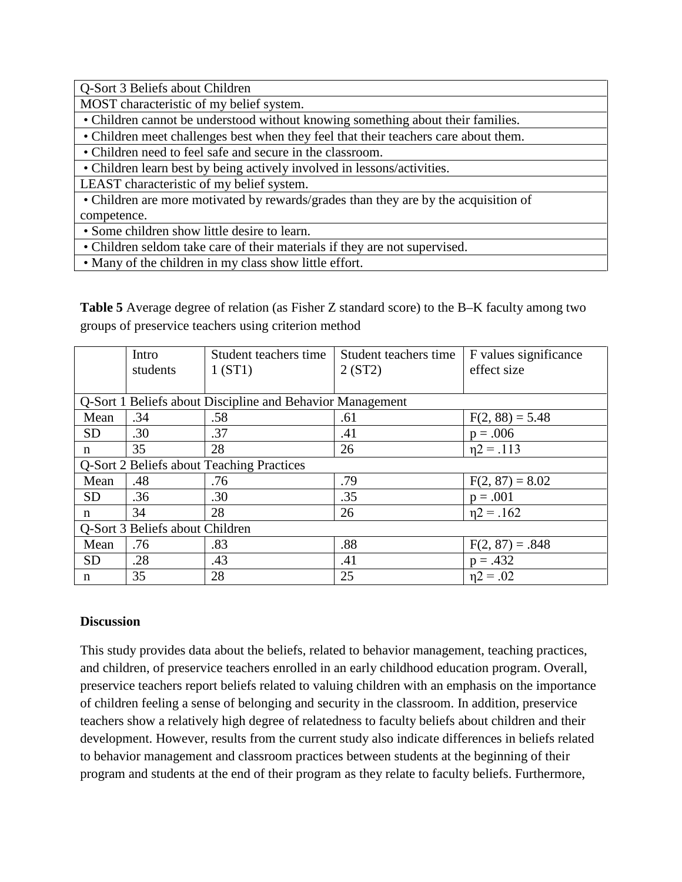Q-Sort 3 Beliefs about Children

MOST characteristic of my belief system.

• Children cannot be understood without knowing something about their families.

• Children meet challenges best when they feel that their teachers care about them.

• Children need to feel safe and secure in the classroom.

• Children learn best by being actively involved in lessons/activities.

LEAST characteristic of my belief system.

• Children are more motivated by rewards/grades than they are by the acquisition of competence.

• Some children show little desire to learn.

• Children seldom take care of their materials if they are not supervised.

• Many of the children in my class show little effort.

**Table 5** Average degree of relation (as Fisher Z standard score) to the B–K faculty among two groups of preservice teachers using criterion method

|                                                           | Intro    | Student teachers time | Student teachers time | F values significance |  |  |
|-----------------------------------------------------------|----------|-----------------------|-----------------------|-----------------------|--|--|
|                                                           | students | 1(ST1)                | 2(ST2)                | effect size           |  |  |
|                                                           |          |                       |                       |                       |  |  |
| Q-Sort 1 Beliefs about Discipline and Behavior Management |          |                       |                       |                       |  |  |
| Mean                                                      | .34      | .58                   | .61                   | $F(2, 88) = 5.48$     |  |  |
| <b>SD</b>                                                 | .30      | .37                   | .41                   | $p = .006$            |  |  |
| n                                                         | 35       | 28                    | 26                    | $n2 = .113$           |  |  |
| Q-Sort 2 Beliefs about Teaching Practices                 |          |                       |                       |                       |  |  |
| Mean                                                      | .48      | .76                   | .79                   | $F(2, 87) = 8.02$     |  |  |
| <b>SD</b>                                                 | .36      | .30                   | .35                   | $p = .001$            |  |  |
| n                                                         | 34       | 28                    | 26                    | $n2 = .162$           |  |  |
| Q-Sort 3 Beliefs about Children                           |          |                       |                       |                       |  |  |
| Mean                                                      | .76      | .83                   | .88                   | $F(2, 87) = .848$     |  |  |
| <b>SD</b>                                                 | .28      | .43                   | .41                   | $p = .432$            |  |  |
| n                                                         | 35       | 28                    | 25                    | $n2 = .02$            |  |  |

## **Discussion**

This study provides data about the beliefs, related to behavior management, teaching practices, and children, of preservice teachers enrolled in an early childhood education program. Overall, preservice teachers report beliefs related to valuing children with an emphasis on the importance of children feeling a sense of belonging and security in the classroom. In addition, preservice teachers show a relatively high degree of relatedness to faculty beliefs about children and their development. However, results from the current study also indicate differences in beliefs related to behavior management and classroom practices between students at the beginning of their program and students at the end of their program as they relate to faculty beliefs. Furthermore,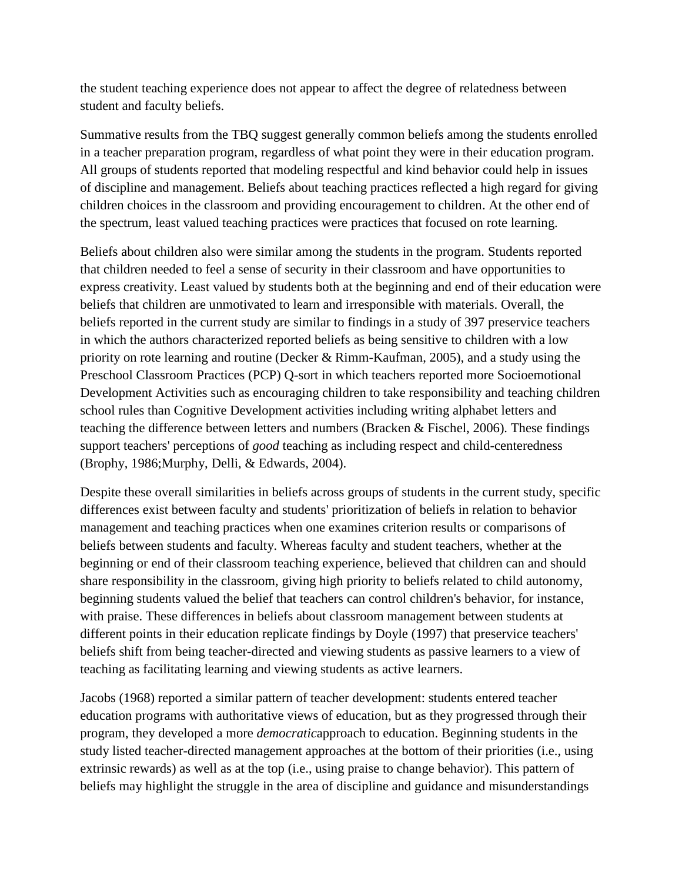the student teaching experience does not appear to affect the degree of relatedness between student and faculty beliefs.

Summative results from the TBQ suggest generally common beliefs among the students enrolled in a teacher preparation program, regardless of what point they were in their education program. All groups of students reported that modeling respectful and kind behavior could help in issues of discipline and management. Beliefs about teaching practices reflected a high regard for giving children choices in the classroom and providing encouragement to children. At the other end of the spectrum, least valued teaching practices were practices that focused on rote learning.

Beliefs about children also were similar among the students in the program. Students reported that children needed to feel a sense of security in their classroom and have opportunities to express creativity. Least valued by students both at the beginning and end of their education were beliefs that children are unmotivated to learn and irresponsible with materials. Overall, the beliefs reported in the current study are similar to findings in a study of 397 preservice teachers in which the authors characterized reported beliefs as being sensitive to children with a low priority on rote learning and routine (Decker & Rimm-Kaufman, 2005), and a study using the Preschool Classroom Practices (PCP) Q-sort in which teachers reported more Socioemotional Development Activities such as encouraging children to take responsibility and teaching children school rules than Cognitive Development activities including writing alphabet letters and teaching the difference between letters and numbers (Bracken & Fischel, 2006). These findings support teachers' perceptions of *good* teaching as including respect and child-centeredness (Brophy, 1986;Murphy, Delli, & Edwards, 2004).

Despite these overall similarities in beliefs across groups of students in the current study, specific differences exist between faculty and students' prioritization of beliefs in relation to behavior management and teaching practices when one examines criterion results or comparisons of beliefs between students and faculty. Whereas faculty and student teachers, whether at the beginning or end of their classroom teaching experience, believed that children can and should share responsibility in the classroom, giving high priority to beliefs related to child autonomy, beginning students valued the belief that teachers can control children's behavior, for instance, with praise. These differences in beliefs about classroom management between students at different points in their education replicate findings by Doyle (1997) that preservice teachers' beliefs shift from being teacher-directed and viewing students as passive learners to a view of teaching as facilitating learning and viewing students as active learners.

Jacobs (1968) reported a similar pattern of teacher development: students entered teacher education programs with authoritative views of education, but as they progressed through their program, they developed a more *democratic*approach to education. Beginning students in the study listed teacher-directed management approaches at the bottom of their priorities (i.e., using extrinsic rewards) as well as at the top (i.e., using praise to change behavior). This pattern of beliefs may highlight the struggle in the area of discipline and guidance and misunderstandings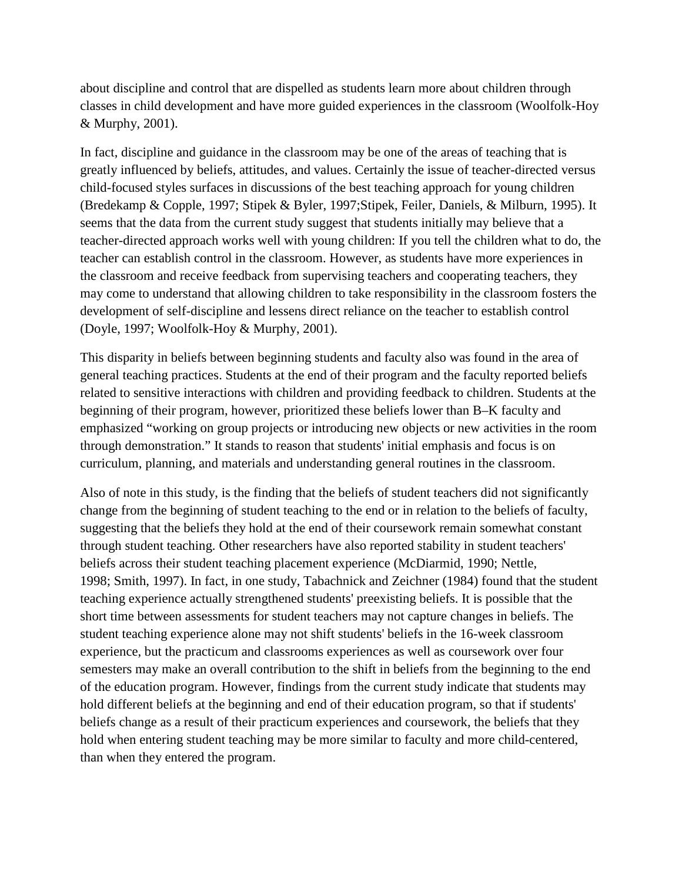about discipline and control that are dispelled as students learn more about children through classes in child development and have more guided experiences in the classroom (Woolfolk-Hoy & Murphy, 2001).

In fact, discipline and guidance in the classroom may be one of the areas of teaching that is greatly influenced by beliefs, attitudes, and values. Certainly the issue of teacher-directed versus child-focused styles surfaces in discussions of the best teaching approach for young children (Bredekamp & Copple, 1997; Stipek & Byler, 1997;Stipek, Feiler, Daniels, & Milburn, 1995). It seems that the data from the current study suggest that students initially may believe that a teacher-directed approach works well with young children: If you tell the children what to do, the teacher can establish control in the classroom. However, as students have more experiences in the classroom and receive feedback from supervising teachers and cooperating teachers, they may come to understand that allowing children to take responsibility in the classroom fosters the development of self-discipline and lessens direct reliance on the teacher to establish control (Doyle, 1997; Woolfolk-Hoy & Murphy, 2001).

This disparity in beliefs between beginning students and faculty also was found in the area of general teaching practices. Students at the end of their program and the faculty reported beliefs related to sensitive interactions with children and providing feedback to children. Students at the beginning of their program, however, prioritized these beliefs lower than B–K faculty and emphasized "working on group projects or introducing new objects or new activities in the room through demonstration." It stands to reason that students' initial emphasis and focus is on curriculum, planning, and materials and understanding general routines in the classroom.

Also of note in this study, is the finding that the beliefs of student teachers did not significantly change from the beginning of student teaching to the end or in relation to the beliefs of faculty, suggesting that the beliefs they hold at the end of their coursework remain somewhat constant through student teaching. Other researchers have also reported stability in student teachers' beliefs across their student teaching placement experience (McDiarmid, 1990; Nettle, 1998; Smith, 1997). In fact, in one study, Tabachnick and Zeichner (1984) found that the student teaching experience actually strengthened students' preexisting beliefs. It is possible that the short time between assessments for student teachers may not capture changes in beliefs. The student teaching experience alone may not shift students' beliefs in the 16-week classroom experience, but the practicum and classrooms experiences as well as coursework over four semesters may make an overall contribution to the shift in beliefs from the beginning to the end of the education program. However, findings from the current study indicate that students may hold different beliefs at the beginning and end of their education program, so that if students' beliefs change as a result of their practicum experiences and coursework, the beliefs that they hold when entering student teaching may be more similar to faculty and more child-centered, than when they entered the program.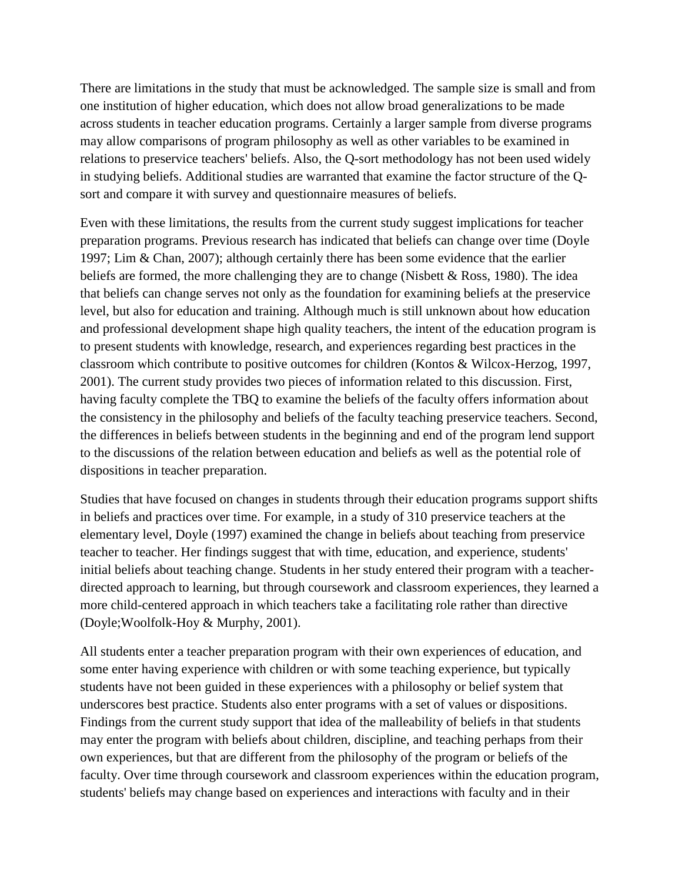There are limitations in the study that must be acknowledged. The sample size is small and from one institution of higher education, which does not allow broad generalizations to be made across students in teacher education programs. Certainly a larger sample from diverse programs may allow comparisons of program philosophy as well as other variables to be examined in relations to preservice teachers' beliefs. Also, the Q-sort methodology has not been used widely in studying beliefs. Additional studies are warranted that examine the factor structure of the Qsort and compare it with survey and questionnaire measures of beliefs.

Even with these limitations, the results from the current study suggest implications for teacher preparation programs. Previous research has indicated that beliefs can change over time (Doyle 1997; Lim & Chan, 2007); although certainly there has been some evidence that the earlier beliefs are formed, the more challenging they are to change (Nisbett  $&$  Ross, 1980). The idea that beliefs can change serves not only as the foundation for examining beliefs at the preservice level, but also for education and training. Although much is still unknown about how education and professional development shape high quality teachers, the intent of the education program is to present students with knowledge, research, and experiences regarding best practices in the classroom which contribute to positive outcomes for children (Kontos & Wilcox-Herzog, 1997, 2001). The current study provides two pieces of information related to this discussion. First, having faculty complete the TBQ to examine the beliefs of the faculty offers information about the consistency in the philosophy and beliefs of the faculty teaching preservice teachers. Second, the differences in beliefs between students in the beginning and end of the program lend support to the discussions of the relation between education and beliefs as well as the potential role of dispositions in teacher preparation.

Studies that have focused on changes in students through their education programs support shifts in beliefs and practices over time. For example, in a study of 310 preservice teachers at the elementary level, Doyle (1997) examined the change in beliefs about teaching from preservice teacher to teacher. Her findings suggest that with time, education, and experience, students' initial beliefs about teaching change. Students in her study entered their program with a teacherdirected approach to learning, but through coursework and classroom experiences, they learned a more child-centered approach in which teachers take a facilitating role rather than directive (Doyle;Woolfolk-Hoy & Murphy, 2001).

All students enter a teacher preparation program with their own experiences of education, and some enter having experience with children or with some teaching experience, but typically students have not been guided in these experiences with a philosophy or belief system that underscores best practice. Students also enter programs with a set of values or dispositions. Findings from the current study support that idea of the malleability of beliefs in that students may enter the program with beliefs about children, discipline, and teaching perhaps from their own experiences, but that are different from the philosophy of the program or beliefs of the faculty. Over time through coursework and classroom experiences within the education program, students' beliefs may change based on experiences and interactions with faculty and in their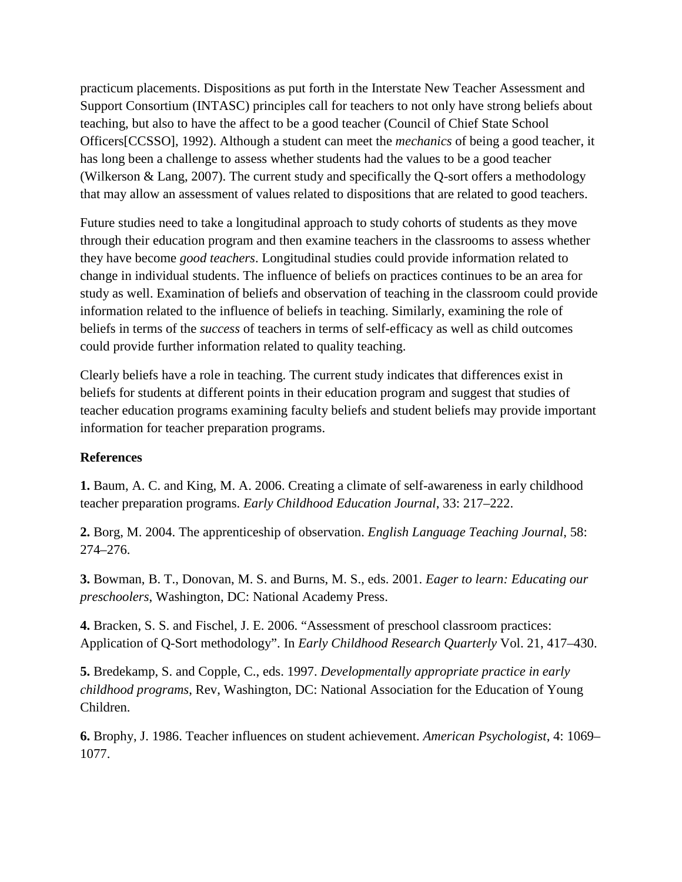practicum placements. Dispositions as put forth in the Interstate New Teacher Assessment and Support Consortium (INTASC) principles call for teachers to not only have strong beliefs about teaching, but also to have the affect to be a good teacher (Council of Chief State School Officers[CCSSO], 1992). Although a student can meet the *mechanics* of being a good teacher, it has long been a challenge to assess whether students had the values to be a good teacher (Wilkerson & Lang, 2007). The current study and specifically the Q-sort offers a methodology that may allow an assessment of values related to dispositions that are related to good teachers.

Future studies need to take a longitudinal approach to study cohorts of students as they move through their education program and then examine teachers in the classrooms to assess whether they have become *good teachers*. Longitudinal studies could provide information related to change in individual students. The influence of beliefs on practices continues to be an area for study as well. Examination of beliefs and observation of teaching in the classroom could provide information related to the influence of beliefs in teaching. Similarly, examining the role of beliefs in terms of the *success* of teachers in terms of self-efficacy as well as child outcomes could provide further information related to quality teaching.

Clearly beliefs have a role in teaching. The current study indicates that differences exist in beliefs for students at different points in their education program and suggest that studies of teacher education programs examining faculty beliefs and student beliefs may provide important information for teacher preparation programs.

#### **References**

**1.** Baum, A. C. and King, M. A. 2006. Creating a climate of self-awareness in early childhood teacher preparation programs. *Early Childhood Education Journal*, 33: 217–222.

**2.** Borg, M. 2004. The apprenticeship of observation. *English Language Teaching Journal*, 58: 274–276.

**3.** Bowman, B. T., Donovan, M. S. and Burns, M. S., eds. 2001. *Eager to learn: Educating our preschoolers*, Washington, DC: National Academy Press.

**4.** Bracken, S. S. and Fischel, J. E. 2006. "Assessment of preschool classroom practices: Application of Q-Sort methodology". In *Early Childhood Research Quarterly* Vol. 21, 417–430.

**5.** Bredekamp, S. and Copple, C., eds. 1997. *Developmentally appropriate practice in early childhood programs*, Rev, Washington, DC: National Association for the Education of Young Children.

**6.** Brophy, J. 1986. Teacher influences on student achievement. *American Psychologist*, 4: 1069– 1077.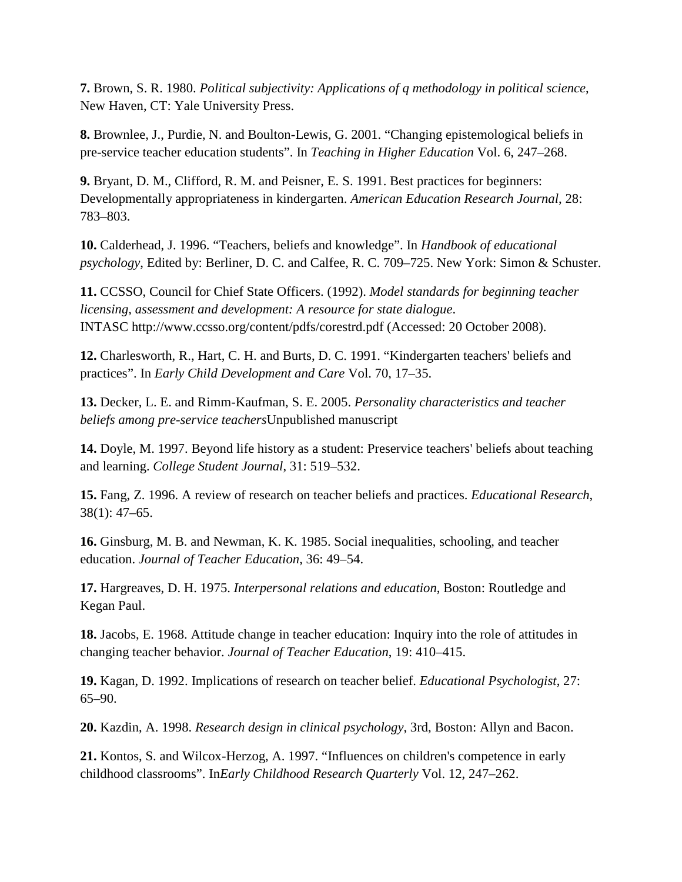**7.** Brown, S. R. 1980. *Political subjectivity: Applications of q methodology in political science*, New Haven, CT: Yale University Press.

**8.** Brownlee, J., Purdie, N. and Boulton-Lewis, G. 2001. "Changing epistemological beliefs in pre-service teacher education students". In *Teaching in Higher Education* Vol. 6, 247–268.

**9.** Bryant, D. M., Clifford, R. M. and Peisner, E. S. 1991. Best practices for beginners: Developmentally appropriateness in kindergarten. *American Education Research Journal*, 28: 783–803.

**10.** Calderhead, J. 1996. "Teachers, beliefs and knowledge". In *Handbook of educational psychology*, Edited by: Berliner, D. C. and Calfee, R. C. 709–725. New York: Simon & Schuster.

**11.** CCSSO, Council for Chief State Officers. (1992). *Model standards for beginning teacher licensing, assessment and development: A resource for state dialogue*. INTASC http://www.ccsso.org/content/pdfs/corestrd.pdf (Accessed: 20 October 2008).

**12.** Charlesworth, R., Hart, C. H. and Burts, D. C. 1991. "Kindergarten teachers' beliefs and practices". In *Early Child Development and Care* Vol. 70, 17–35.

**13.** Decker, L. E. and Rimm-Kaufman, S. E. 2005. *Personality characteristics and teacher beliefs among pre-service teachers*Unpublished manuscript

**14.** Doyle, M. 1997. Beyond life history as a student: Preservice teachers' beliefs about teaching and learning. *College Student Journal*, 31: 519–532.

**15.** Fang, Z. 1996. A review of research on teacher beliefs and practices. *Educational Research*, 38(1): 47–65.

**16.** Ginsburg, M. B. and Newman, K. K. 1985. Social inequalities, schooling, and teacher education. *Journal of Teacher Education*, 36: 49–54.

**17.** Hargreaves, D. H. 1975. *Interpersonal relations and education*, Boston: Routledge and Kegan Paul.

**18.** Jacobs, E. 1968. Attitude change in teacher education: Inquiry into the role of attitudes in changing teacher behavior. *Journal of Teacher Education*, 19: 410–415.

**19.** Kagan, D. 1992. Implications of research on teacher belief. *Educational Psychologist*, 27: 65–90.

**20.** Kazdin, A. 1998. *Research design in clinical psychology*, 3rd, Boston: Allyn and Bacon.

**21.** Kontos, S. and Wilcox-Herzog, A. 1997. "Influences on children's competence in early childhood classrooms". In*Early Childhood Research Quarterly* Vol. 12, 247–262.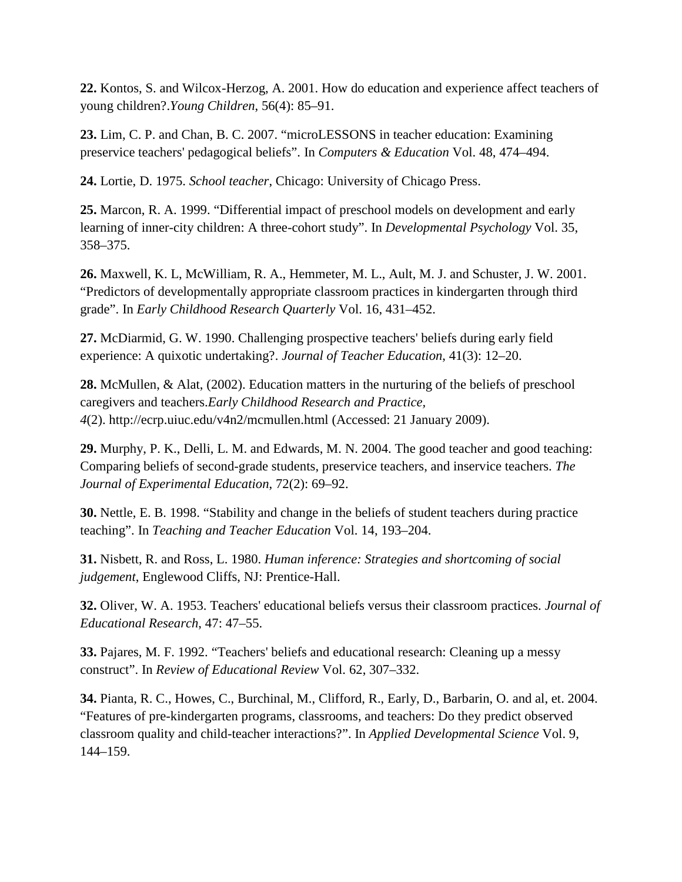**22.** Kontos, S. and Wilcox-Herzog, A. 2001. How do education and experience affect teachers of young children?.*Young Children*, 56(4): 85–91.

**23.** Lim, C. P. and Chan, B. C. 2007. "microLESSONS in teacher education: Examining preservice teachers' pedagogical beliefs". In *Computers & Education* Vol. 48, 474–494.

**24.** Lortie, D. 1975. *School teacher*, Chicago: University of Chicago Press.

**25.** Marcon, R. A. 1999. "Differential impact of preschool models on development and early learning of inner-city children: A three-cohort study". In *Developmental Psychology* Vol. 35, 358–375.

**26.** Maxwell, K. L, McWilliam, R. A., Hemmeter, M. L., Ault, M. J. and Schuster, J. W. 2001. "Predictors of developmentally appropriate classroom practices in kindergarten through third grade". In *Early Childhood Research Quarterly* Vol. 16, 431–452.

**27.** McDiarmid, G. W. 1990. Challenging prospective teachers' beliefs during early field experience: A quixotic undertaking?. *Journal of Teacher Education*, 41(3): 12–20.

**28.** McMullen, & Alat, (2002). Education matters in the nurturing of the beliefs of preschool caregivers and teachers.*Early Childhood Research and Practice, 4*(2). http://ecrp.uiuc.edu/v4n2/mcmullen.html (Accessed: 21 January 2009).

**29.** Murphy, P. K., Delli, L. M. and Edwards, M. N. 2004. The good teacher and good teaching: Comparing beliefs of second-grade students, preservice teachers, and inservice teachers. *The Journal of Experimental Education*, 72(2): 69–92.

**30.** Nettle, E. B. 1998. "Stability and change in the beliefs of student teachers during practice teaching". In *Teaching and Teacher Education* Vol. 14, 193–204.

**31.** Nisbett, R. and Ross, L. 1980. *Human inference: Strategies and shortcoming of social judgement*, Englewood Cliffs, NJ: Prentice-Hall.

**32.** Oliver, W. A. 1953. Teachers' educational beliefs versus their classroom practices. *Journal of Educational Research*, 47: 47–55.

**33.** Pajares, M. F. 1992. "Teachers' beliefs and educational research: Cleaning up a messy construct". In *Review of Educational Review* Vol. 62, 307–332.

**34.** Pianta, R. C., Howes, C., Burchinal, M., Clifford, R., Early, D., Barbarin, O. and al, et. 2004. "Features of pre-kindergarten programs, classrooms, and teachers: Do they predict observed classroom quality and child-teacher interactions?". In *Applied Developmental Science* Vol. 9, 144–159.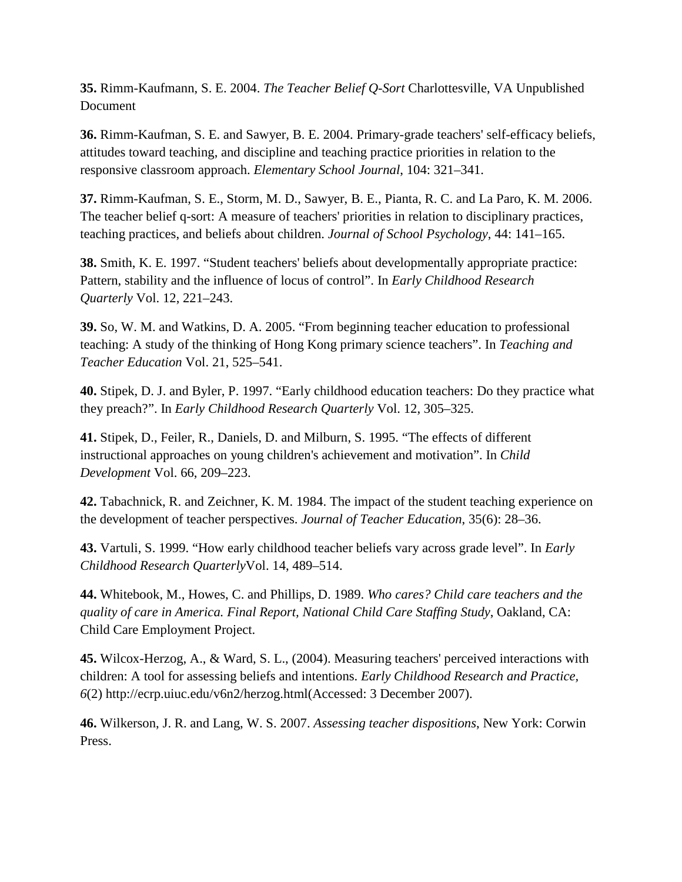**35.** Rimm-Kaufmann, S. E. 2004. *The Teacher Belief Q-Sort* Charlottesville, VA Unpublished Document

**36.** Rimm-Kaufman, S. E. and Sawyer, B. E. 2004. Primary-grade teachers' self-efficacy beliefs, attitudes toward teaching, and discipline and teaching practice priorities in relation to the responsive classroom approach. *Elementary School Journal*, 104: 321–341.

**37.** Rimm-Kaufman, S. E., Storm, M. D., Sawyer, B. E., Pianta, R. C. and La Paro, K. M. 2006. The teacher belief q-sort: A measure of teachers' priorities in relation to disciplinary practices, teaching practices, and beliefs about children. *Journal of School Psychology*, 44: 141–165.

**38.** Smith, K. E. 1997. "Student teachers' beliefs about developmentally appropriate practice: Pattern, stability and the influence of locus of control". In *Early Childhood Research Quarterly* Vol. 12, 221–243.

**39.** So, W. M. and Watkins, D. A. 2005. "From beginning teacher education to professional teaching: A study of the thinking of Hong Kong primary science teachers". In *Teaching and Teacher Education* Vol. 21, 525–541.

**40.** Stipek, D. J. and Byler, P. 1997. "Early childhood education teachers: Do they practice what they preach?". In *Early Childhood Research Quarterly* Vol. 12, 305–325.

**41.** Stipek, D., Feiler, R., Daniels, D. and Milburn, S. 1995. "The effects of different instructional approaches on young children's achievement and motivation". In *Child Development* Vol. 66, 209–223.

**42.** Tabachnick, R. and Zeichner, K. M. 1984. The impact of the student teaching experience on the development of teacher perspectives. *Journal of Teacher Education*, 35(6): 28–36.

**43.** Vartuli, S. 1999. "How early childhood teacher beliefs vary across grade level". In *Early Childhood Research Quarterly*Vol. 14, 489–514.

**44.** Whitebook, M., Howes, C. and Phillips, D. 1989. *Who cares? Child care teachers and the quality of care in America. Final Report, National Child Care Staffing Study*, Oakland, CA: Child Care Employment Project.

**45.** Wilcox-Herzog, A., & Ward, S. L., (2004). Measuring teachers' perceived interactions with children: A tool for assessing beliefs and intentions. *Early Childhood Research and Practice, 6*(2) http://ecrp.uiuc.edu/v6n2/herzog.html(Accessed: 3 December 2007).

**46.** Wilkerson, J. R. and Lang, W. S. 2007. *Assessing teacher dispositions*, New York: Corwin Press.